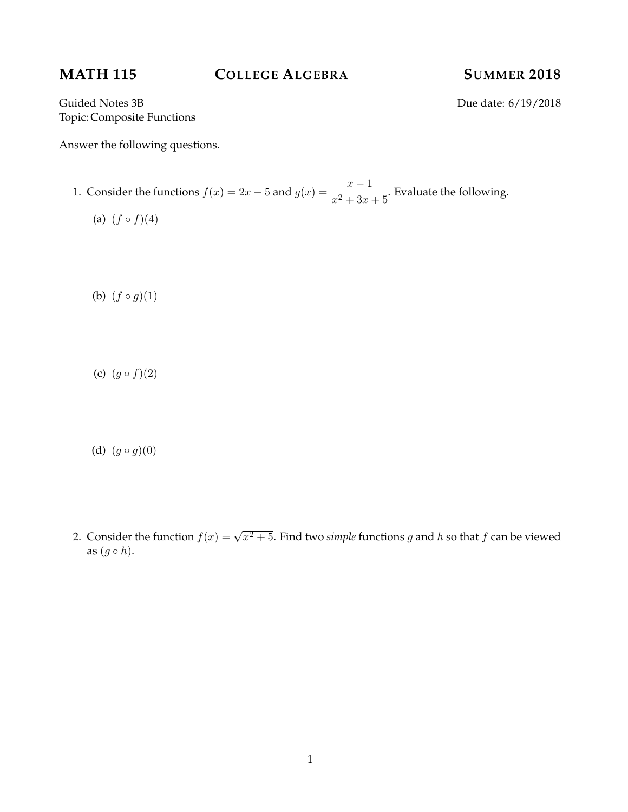# **MATH 115 COLLEGE ALGEBRA SUMMER 2018**

Guided Notes 3B Due date: 6/19/2018 Topic: Composite Functions

Answer the following questions.

- 1. Consider the functions  $f(x) = 2x 5$  and  $g(x) = 1$  $x - 1$  $\frac{1}{x^2+3x+5}$ . Evaluate the following.
	- (a)  $(f \circ f)(4)$

(b)  $(f \circ g)(1)$ 

(c)  $(g \circ f)(2)$ 

(d)  $(g \circ g)(0)$ 

2. Consider the function  $f(x) = \sqrt{x^2 + 5}$ . Find two *simple* functions g and h so that f can be viewed as  $(g \circ h)$ .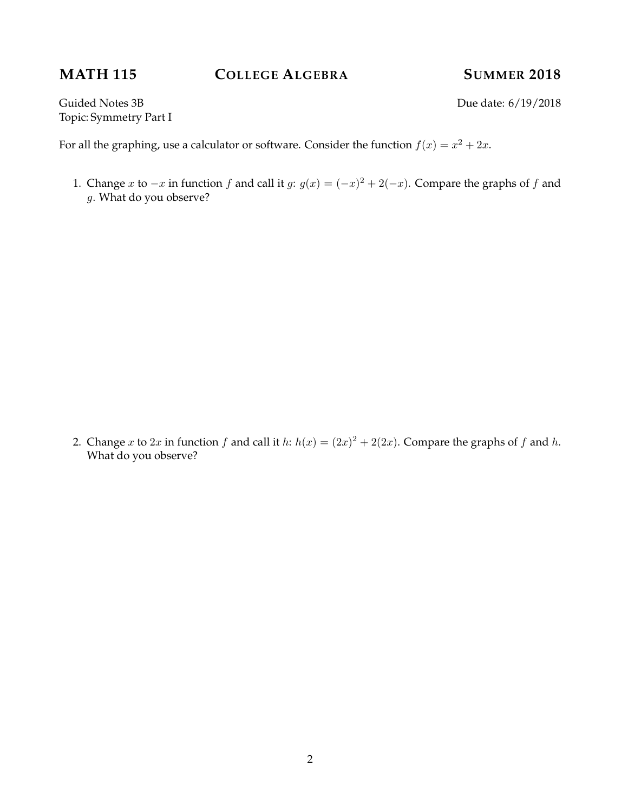# **MATH 115 COLLEGE ALGEBRA SUMMER 2018**

Guided Notes 3B Due date: 6/19/2018 Topic: Symmetry Part I

For all the graphing, use a calculator or software. Consider the function  $f(x) = x^2 + 2x$ .

1. Change x to  $-x$  in function f and call it g:  $g(x) = (-x)^2 + 2(-x)$ . Compare the graphs of f and g. What do you observe?

2. Change x to 2x in function f and call it h:  $h(x) = (2x)^2 + 2(2x)$ . Compare the graphs of f and h. What do you observe?